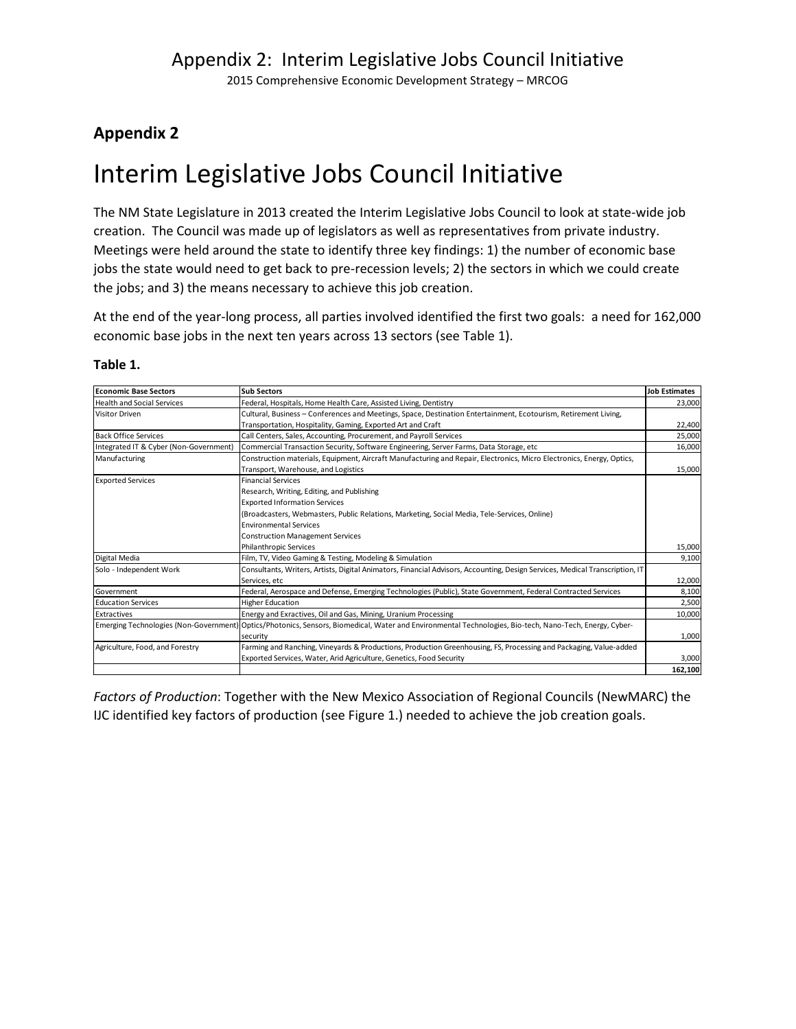2015 Comprehensive Economic Development Strategy – MRCOG

### **Appendix 2**

# Interim Legislative Jobs Council Initiative

The NM State Legislature in 2013 created the Interim Legislative Jobs Council to look at state-wide job creation. The Council was made up of legislators as well as representatives from private industry. Meetings were held around the state to identify three key findings: 1) the number of economic base jobs the state would need to get back to pre-recession levels; 2) the sectors in which we could create the jobs; and 3) the means necessary to achieve this job creation.

At the end of the year-long process, all parties involved identified the first two goals: a need for 162,000 economic base jobs in the next ten years across 13 sectors (see Table 1).

| <b>Economic Base Sectors</b>           | <b>Sub Sectors</b>                                                                                                                                      | <b>Job Estimates</b> |  |  |
|----------------------------------------|---------------------------------------------------------------------------------------------------------------------------------------------------------|----------------------|--|--|
| Health and Social Services             | Federal, Hospitals, Home Health Care, Assisted Living, Dentistry                                                                                        | 23,000               |  |  |
| Visitor Driven                         | Cultural, Business – Conferences and Meetings, Space, Destination Entertainment, Ecotourism, Retirement Living,                                         |                      |  |  |
|                                        | Transportation, Hospitality, Gaming, Exported Art and Craft                                                                                             | 22,400               |  |  |
| <b>Back Office Services</b>            | Call Centers, Sales, Accounting, Procurement, and Payroll Services                                                                                      | 25,000               |  |  |
| Integrated IT & Cyber (Non-Government) | Commercial Transaction Security, Software Engineering, Server Farms, Data Storage, etc                                                                  |                      |  |  |
| Manufacturing                          | Construction materials, Equipment, Aircraft Manufacturing and Repair, Electronics, Micro Electronics, Energy, Optics,                                   |                      |  |  |
|                                        | Transport, Warehouse, and Logistics                                                                                                                     | 15,000               |  |  |
| <b>Exported Services</b>               | <b>Financial Services</b>                                                                                                                               |                      |  |  |
|                                        | Research, Writing, Editing, and Publishing                                                                                                              |                      |  |  |
|                                        | <b>Exported Information Services</b>                                                                                                                    |                      |  |  |
|                                        | (Broadcasters, Webmasters, Public Relations, Marketing, Social Media, Tele-Services, Online)                                                            |                      |  |  |
|                                        | <b>Environmental Services</b>                                                                                                                           |                      |  |  |
|                                        | <b>Construction Management Services</b>                                                                                                                 |                      |  |  |
|                                        | <b>Philanthropic Services</b>                                                                                                                           | 15,000               |  |  |
| Digital Media                          | Film, TV, Video Gaming & Testing, Modeling & Simulation                                                                                                 | 9,100                |  |  |
| Solo - Independent Work                | Consultants, Writers, Artists, Digital Animators, Financial Advisors, Accounting, Design Services, Medical Transcription, IT                            |                      |  |  |
|                                        | Services, etc                                                                                                                                           | 12,000               |  |  |
| l Government                           | Federal, Aerospace and Defense, Emerging Technologies (Public), State Government, Federal Contracted Services                                           | 8,100                |  |  |
| <b>Education Services</b>              | <b>Higher Education</b>                                                                                                                                 | 2,500                |  |  |
| Extractives                            | Energy and Exractives, Oil and Gas, Mining, Uranium Processing                                                                                          | 10,000               |  |  |
|                                        | Emerging Technologies (Non-Government) Optics/Photonics, Sensors, Biomedical, Water and Environmental Technologies, Bio-tech, Nano-Tech, Energy, Cyber- |                      |  |  |
|                                        | security                                                                                                                                                | 1,000                |  |  |
| Agriculture, Food, and Forestry        | Farming and Ranching, Vineyards & Productions, Production Greenhousing, FS, Processing and Packaging, Value-added                                       |                      |  |  |
|                                        | Exported Services, Water, Arid Agriculture, Genetics, Food Security                                                                                     | 3,000                |  |  |
|                                        |                                                                                                                                                         | 162,100              |  |  |

### **Table 1.**

*Factors of Production*: Together with the New Mexico Association of Regional Councils (NewMARC) the IJC identified key factors of production (see Figure 1.) needed to achieve the job creation goals.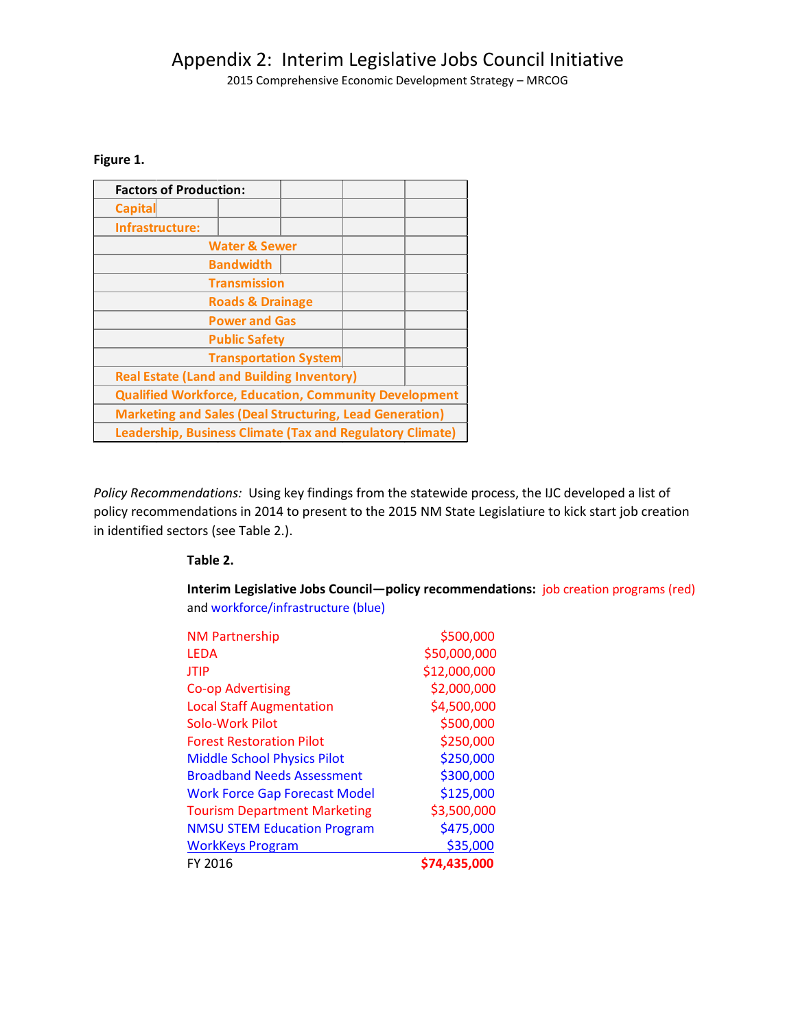### Appendix 2: Interim Legislative Jobs Council Initiative

2015 Comprehensive Economic Development Strategy – MRCOG

### **Figure 1.**

| <b>Factors of Production:</b>                                    |  |  |  |  |  |  |
|------------------------------------------------------------------|--|--|--|--|--|--|
| <b>Capital</b>                                                   |  |  |  |  |  |  |
| Infrastructure:                                                  |  |  |  |  |  |  |
| <b>Water &amp; Sewer</b>                                         |  |  |  |  |  |  |
| <b>Bandwidth</b>                                                 |  |  |  |  |  |  |
| <b>Transmission</b>                                              |  |  |  |  |  |  |
| <b>Roads &amp; Drainage</b>                                      |  |  |  |  |  |  |
| <b>Power and Gas</b>                                             |  |  |  |  |  |  |
| <b>Public Safety</b>                                             |  |  |  |  |  |  |
| <b>Transportation System</b>                                     |  |  |  |  |  |  |
| <b>Real Estate (Land and Building Inventory)</b>                 |  |  |  |  |  |  |
| <b>Qualified Workforce, Education, Community Development</b>     |  |  |  |  |  |  |
| <b>Marketing and Sales (Deal Structuring, Lead Generation)</b>   |  |  |  |  |  |  |
| <b>Leadership, Business Climate (Tax and Regulatory Climate)</b> |  |  |  |  |  |  |

*Policy Recommendations:* Using key findings from the statewide process, the IJC developed a list of policy recommendations in 2014 to present to the 2015 NM State Legislatiure to kick start job creation in identified sectors (see Table 2.).

#### **Table 2.**

**Interim Legislative Jobs Council—policy recommendations:** job creation programs (red) and workforce/infrastructure (blue)

| FY 2016                              | \$74,435,000 |
|--------------------------------------|--------------|
| <b>WorkKeys Program</b>              | \$35,000     |
| <b>NMSU STEM Education Program</b>   | \$475,000    |
| <b>Tourism Department Marketing</b>  | \$3,500,000  |
| <b>Work Force Gap Forecast Model</b> | \$125,000    |
| <b>Broadband Needs Assessment</b>    | \$300,000    |
| <b>Middle School Physics Pilot</b>   | \$250,000    |
| <b>Forest Restoration Pilot</b>      | \$250,000    |
| Solo-Work Pilot                      | \$500,000    |
| <b>Local Staff Augmentation</b>      | \$4,500,000  |
| <b>Co-op Advertising</b>             | \$2,000,000  |
| JTIP                                 | \$12,000,000 |
| LEDA                                 | \$50,000,000 |
| <b>NM Partnership</b>                | \$500,000    |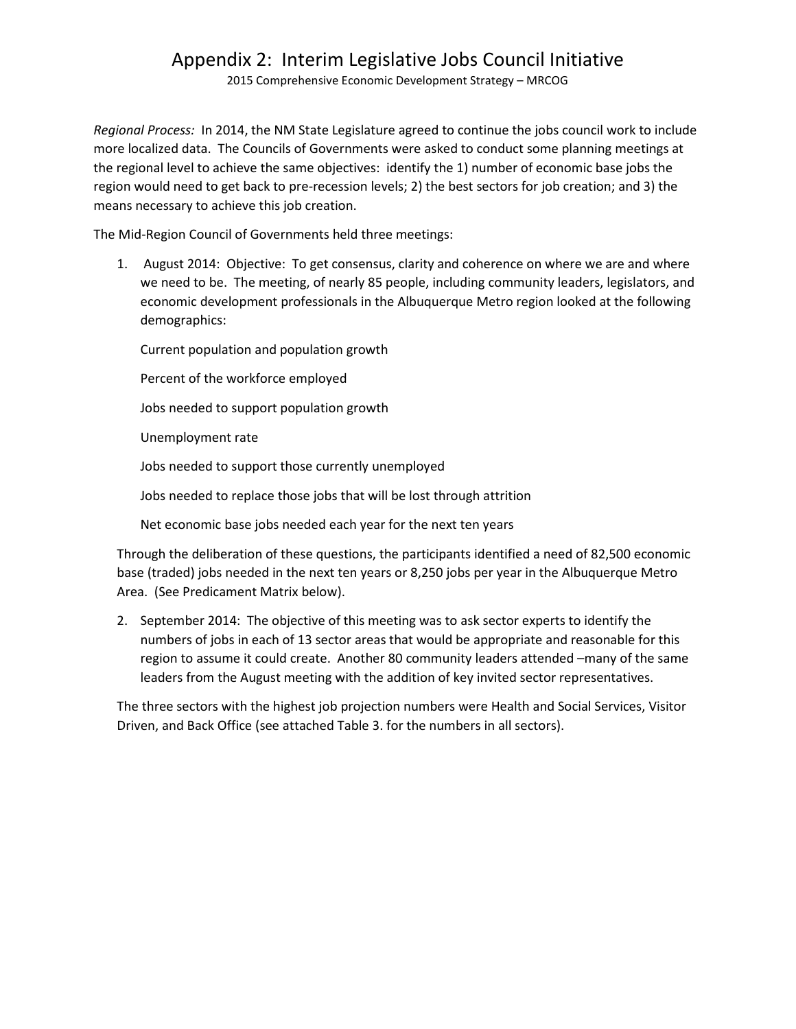# Appendix 2: Interim Legislative Jobs Council Initiative

2015 Comprehensive Economic Development Strategy – MRCOG

*Regional Process:* In 2014, the NM State Legislature agreed to continue the jobs council work to include more localized data. The Councils of Governments were asked to conduct some planning meetings at the regional level to achieve the same objectives: identify the 1) number of economic base jobs the region would need to get back to pre-recession levels; 2) the best sectors for job creation; and 3) the means necessary to achieve this job creation.

The Mid-Region Council of Governments held three meetings:

1. August 2014: Objective: To get consensus, clarity and coherence on where we are and where we need to be. The meeting, of nearly 85 people, including community leaders, legislators, and economic development professionals in the Albuquerque Metro region looked at the following demographics:

Current population and population growth

Percent of the workforce employed

Jobs needed to support population growth

Unemployment rate

Jobs needed to support those currently unemployed

Jobs needed to replace those jobs that will be lost through attrition

Net economic base jobs needed each year for the next ten years

Through the deliberation of these questions, the participants identified a need of 82,500 economic base (traded) jobs needed in the next ten years or 8,250 jobs per year in the Albuquerque Metro Area. (See Predicament Matrix below).

2. September 2014: The objective of this meeting was to ask sector experts to identify the numbers of jobs in each of 13 sector areas that would be appropriate and reasonable for this region to assume it could create. Another 80 community leaders attended –many of the same leaders from the August meeting with the addition of key invited sector representatives.

The three sectors with the highest job projection numbers were Health and Social Services, Visitor Driven, and Back Office (see attached Table 3. for the numbers in all sectors).